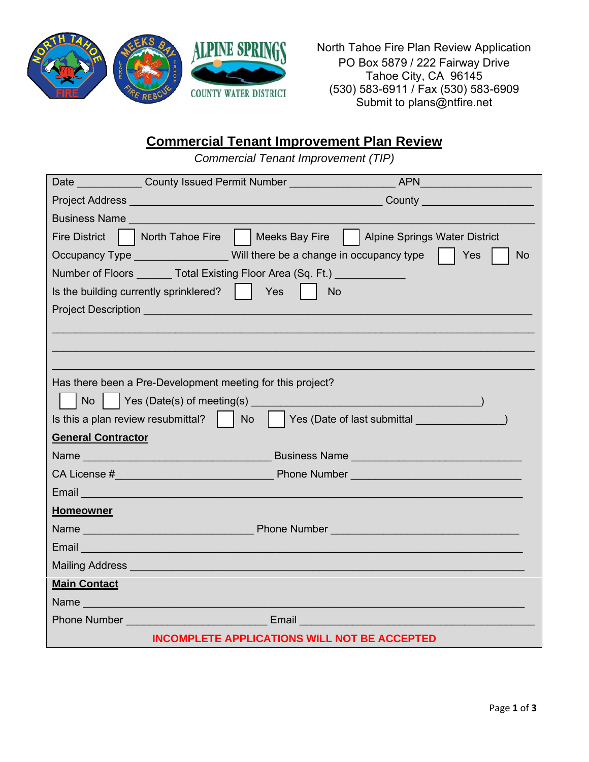

North Tahoe Fire Plan Review Application PO Box 5879 / 222 Fairway Drive Tahoe City, CA 96145 (530) 583-6911 / Fax (530) 583-6909 Submit to plans@ntfire.net

## **Commercial Tenant Improvement Plan Review**

*Commercial Tenant Improvement (TIP)*

| Date County Issued Permit Number                                                                                                                                                                                                                                           |  |  |
|----------------------------------------------------------------------------------------------------------------------------------------------------------------------------------------------------------------------------------------------------------------------------|--|--|
| Project Address National Contract of the Contract of Contract of the Contract of Contract of Contract of Contract of Contract of Contract of Contract of Contract of Contract of Contract of Contract of Contract of Contract<br><b>County County County County County</b> |  |  |
| <b>Business Name Business</b> Name                                                                                                                                                                                                                                         |  |  |
| North Tahoe Fire     Meeks Bay Fire<br><b>Fire District</b><br>  Alpine Springs Water District                                                                                                                                                                             |  |  |
| Occupancy Type ___________________Will there be a change in occupancy type    <br>Yes<br><b>No</b>                                                                                                                                                                         |  |  |
| Number of Floors Total Existing Floor Area (Sq. Ft.)                                                                                                                                                                                                                       |  |  |
| Is the building currently sprinklered? $\ \cdot\ $<br>Yes<br><b>No</b>                                                                                                                                                                                                     |  |  |
|                                                                                                                                                                                                                                                                            |  |  |
|                                                                                                                                                                                                                                                                            |  |  |
|                                                                                                                                                                                                                                                                            |  |  |
|                                                                                                                                                                                                                                                                            |  |  |
| Has there been a Pre-Development meeting for this project?                                                                                                                                                                                                                 |  |  |
| Yes (Date(s) of meeting(s) example and the contract of the contract of the contract of the contract of the contract of the contract of the contract of the contract of the contract of the contract of the contract of the con<br>No                                       |  |  |
| Yes (Date of last submittal (New York)<br>Is this a plan review resubmittal? $\parallel$ No                                                                                                                                                                                |  |  |
| <b>General Contractor</b>                                                                                                                                                                                                                                                  |  |  |
|                                                                                                                                                                                                                                                                            |  |  |
|                                                                                                                                                                                                                                                                            |  |  |
| Email and the contract of the contract of the contract of the contract of the contract of the contract of the                                                                                                                                                              |  |  |
| <b>Homeowner</b>                                                                                                                                                                                                                                                           |  |  |
| <b>Name Name <i>Name Name Name Name Name Name Name Name Name Name Name NAME NAME NAME NAME NAME NAME NAME NAME NAME NAME NAME NAME</i> </b>                                                                                                                                |  |  |
|                                                                                                                                                                                                                                                                            |  |  |
|                                                                                                                                                                                                                                                                            |  |  |
| <b>Main Contact</b>                                                                                                                                                                                                                                                        |  |  |
| Name                                                                                                                                                                                                                                                                       |  |  |
| <b>Phone Number Community Community Community Community Community Community Community Community Community Community</b>                                                                                                                                                    |  |  |
| <b>INCOMPLETE APPLICATIONS WILL NOT BE ACCEPTED</b>                                                                                                                                                                                                                        |  |  |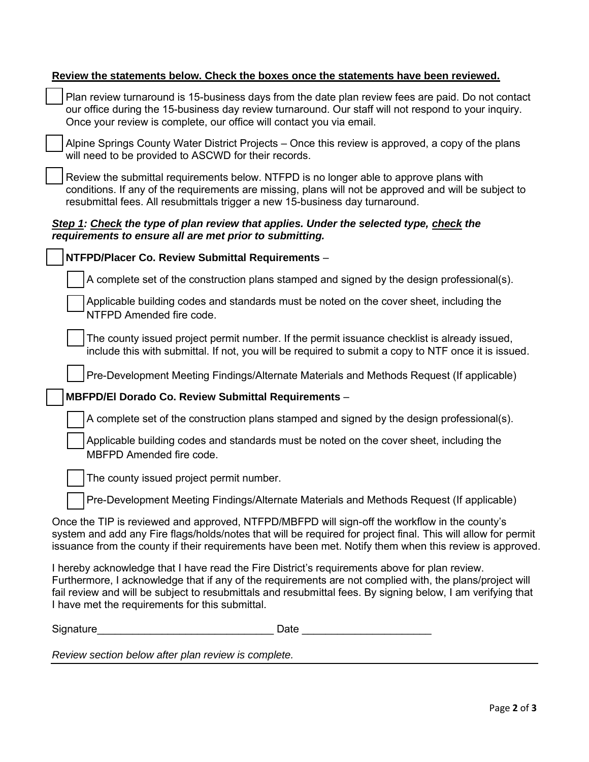| Review the statements below. Check the boxes once the statements have been reviewed.                                                                                                                                                                                                                                                                                        |
|-----------------------------------------------------------------------------------------------------------------------------------------------------------------------------------------------------------------------------------------------------------------------------------------------------------------------------------------------------------------------------|
| Plan review turnaround is 15-business days from the date plan review fees are paid. Do not contact<br>our office during the 15-business day review turnaround. Our staff will not respond to your inquiry.<br>Once your review is complete, our office will contact you via email.                                                                                          |
| Alpine Springs County Water District Projects – Once this review is approved, a copy of the plans<br>will need to be provided to ASCWD for their records.                                                                                                                                                                                                                   |
| Review the submittal requirements below. NTFPD is no longer able to approve plans with<br>conditions. If any of the requirements are missing, plans will not be approved and will be subject to<br>resubmittal fees. All resubmittals trigger a new 15-business day turnaround.                                                                                             |
| Step 1: Check the type of plan review that applies. Under the selected type, check the<br>requirements to ensure all are met prior to submitting.                                                                                                                                                                                                                           |
| NTFPD/Placer Co. Review Submittal Requirements -                                                                                                                                                                                                                                                                                                                            |
| A complete set of the construction plans stamped and signed by the design professional(s).                                                                                                                                                                                                                                                                                  |
| Applicable building codes and standards must be noted on the cover sheet, including the<br>NTFPD Amended fire code.                                                                                                                                                                                                                                                         |
| The county issued project permit number. If the permit issuance checklist is already issued,<br>include this with submittal. If not, you will be required to submit a copy to NTF once it is issued.                                                                                                                                                                        |
| Pre-Development Meeting Findings/Alternate Materials and Methods Request (If applicable)                                                                                                                                                                                                                                                                                    |
| MBFPD/El Dorado Co. Review Submittal Requirements -                                                                                                                                                                                                                                                                                                                         |
| A complete set of the construction plans stamped and signed by the design professional(s).                                                                                                                                                                                                                                                                                  |
| Applicable building codes and standards must be noted on the cover sheet, including the<br>MBFPD Amended fire code.                                                                                                                                                                                                                                                         |
| The county issued project permit number.                                                                                                                                                                                                                                                                                                                                    |
| Pre-Development Meeting Findings/Alternate Materials and Methods Request (If applicable)                                                                                                                                                                                                                                                                                    |
| Once the TIP is reviewed and approved, NTFPD/MBFPD will sign-off the workflow in the county's<br>system and add any Fire flags/holds/notes that will be required for project final. This will allow for permit<br>issuance from the county if their requirements have been met. Notify them when this review is approved.                                                   |
| I hereby acknowledge that I have read the Fire District's requirements above for plan review.<br>Furthermore, I acknowledge that if any of the requirements are not complied with, the plans/project will<br>fail review and will be subject to resubmittals and resubmittal fees. By signing below, I am verifying that<br>I have met the requirements for this submittal. |
| Signature<br>Date                                                                                                                                                                                                                                                                                                                                                           |

*Review section below after plan review is complete.*